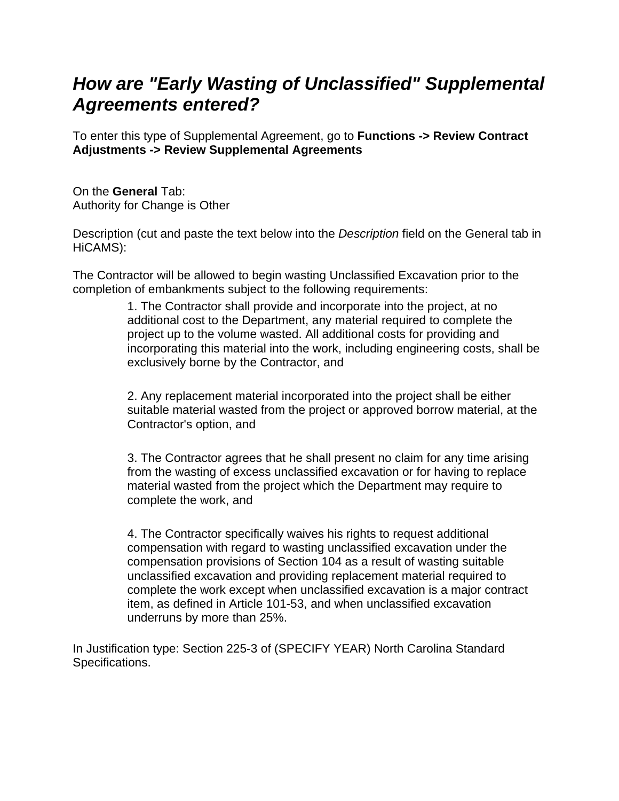## *How are "Early Wasting of Unclassified" Supplemental Agreements entered?*

To enter this type of Supplemental Agreement, go to **Functions -> Review Contract Adjustments -> Review Supplemental Agreements**

On the **General** Tab: Authority for Change is Other

Description (cut and paste the text below into the *Description* field on the General tab in HiCAMS):

The Contractor will be allowed to begin wasting Unclassified Excavation prior to the completion of embankments subject to the following requirements:

> 1. The Contractor shall provide and incorporate into the project, at no additional cost to the Department, any material required to complete the project up to the volume wasted. All additional costs for providing and incorporating this material into the work, including engineering costs, shall be exclusively borne by the Contractor, and

> 2. Any replacement material incorporated into the project shall be either suitable material wasted from the project or approved borrow material, at the Contractor's option, and

3. The Contractor agrees that he shall present no claim for any time arising from the wasting of excess unclassified excavation or for having to replace material wasted from the project which the Department may require to complete the work, and

4. The Contractor specifically waives his rights to request additional compensation with regard to wasting unclassified excavation under the compensation provisions of Section 104 as a result of wasting suitable unclassified excavation and providing replacement material required to complete the work except when unclassified excavation is a major contract item, as defined in Article 101-53, and when unclassified excavation underruns by more than 25%.

In Justification type: Section 225-3 of (SPECIFY YEAR) North Carolina Standard Specifications.